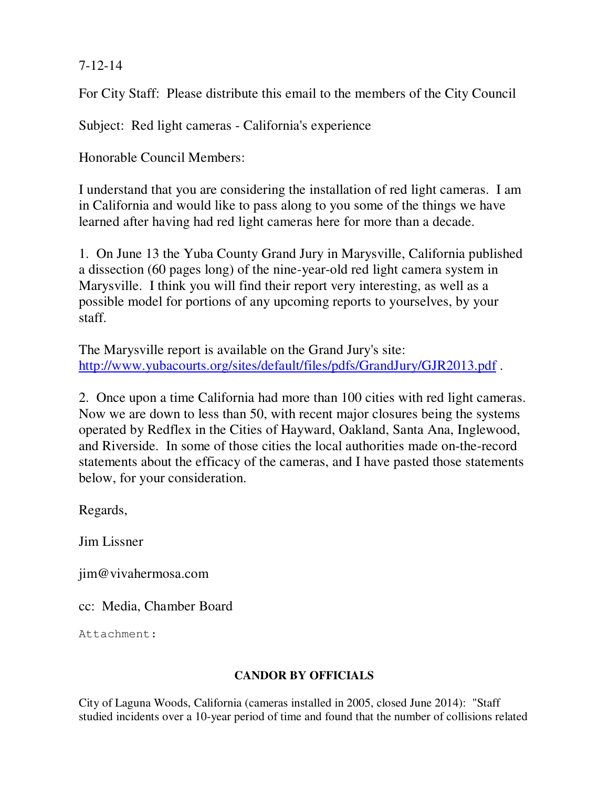## 7-12-14

For City Staff: Please distribute this email to the members of the City Council

Subject: Red light cameras - California's experience

Honorable Council Members:

I understand that you are considering the installation of red light cameras. I am in California and would like to pass along to you some of the things we have learned after having had red light cameras here for more than a decade.

1. On June 13 the Yuba County Grand Jury in Marysville, California published a dissection (60 pages long) of the nine-year-old red light camera system in Marysville. I think you will find their report very interesting, as well as a possible model for portions of any upcoming reports to yourselves, by your staff.

The Marysville report is available on the Grand Jury's site: http://www.yubacourts.org/sites/default/files/pdfs/GrandJury/GJR2013.pdf .

2. Once upon a time California had more than 100 cities with red light cameras. Now we are down to less than 50, with recent major closures being the systems operated by Redflex in the Cities of Hayward, Oakland, Santa Ana, Inglewood, and Riverside. In some of those cities the local authorities made on-the-record statements about the efficacy of the cameras, and I have pasted those statements below, for your consideration.

Regards,

Jim Lissner

jim@vivahermosa.com

cc: Media, Chamber Board

Attachment:

## **CANDOR BY OFFICIALS**

City of Laguna Woods, California (cameras installed in 2005, closed June 2014): "Staff studied incidents over a 10-year period of time and found that the number of collisions related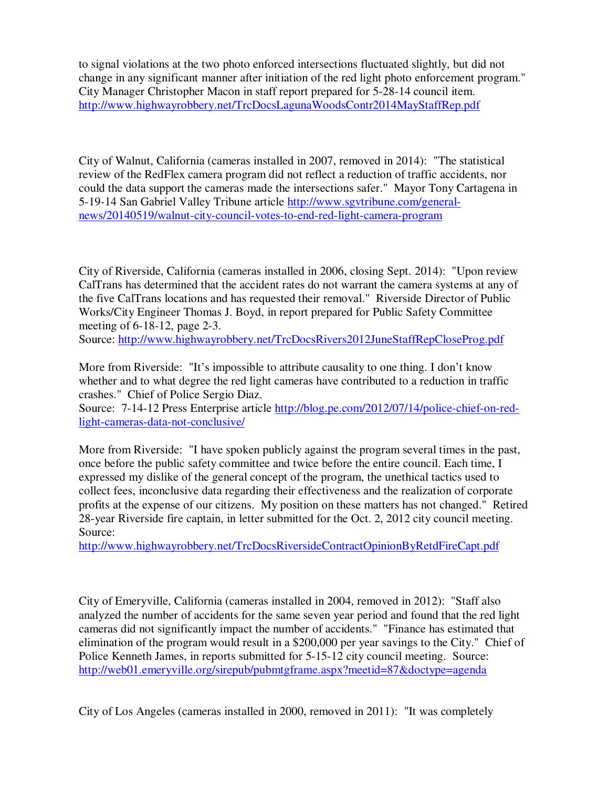to signal violations at the two photo enforced intersections fluctuated slightly, but did not change in any significant manner after initiation of the red light photo enforcement program." City Manager Christopher Macon in staff report prepared for 5-28-14 council item. http://www.highwayrobbery.net/TrcDocsLagunaWoodsContr2014MayStaffRep.pdf

City of Walnut, California (cameras installed in 2007, removed in 2014): "The statistical review of the RedFlex camera program did not reflect a reduction of traffic accidents, nor could the data support the cameras made the intersections safer." Mayor Tony Cartagena in 5-19-14 San Gabriel Valley Tribune article http://www.sgvtribune.com/generalnews/20140519/walnut-city-council-votes-to-end-red-light-camera-program

City of Riverside, California (cameras installed in 2006, closing Sept. 2014): "Upon review CalTrans has determined that the accident rates do not warrant the camera systems at any of the five CalTrans locations and has requested their removal." Riverside Director of Public Works/City Engineer Thomas J. Boyd, in report prepared for Public Safety Committee meeting of 6-18-12, page 2-3.

Source: http://www.highwayrobbery.net/TrcDocsRivers2012JuneStaffRepCloseProg.pdf

More from Riverside: "It's impossible to attribute causality to one thing. I don't know whether and to what degree the red light cameras have contributed to a reduction in traffic crashes." Chief of Police Sergio Diaz.

Source: 7-14-12 Press Enterprise article http://blog.pe.com/2012/07/14/police-chief-on-redlight-cameras-data-not-conclusive/

More from Riverside: "I have spoken publicly against the program several times in the past, once before the public safety committee and twice before the entire council. Each time, I expressed my dislike of the general concept of the program, the unethical tactics used to collect fees, inconclusive data regarding their effectiveness and the realization of corporate profits at the expense of our citizens. My position on these matters has not changed." Retired 28-year Riverside fire captain, in letter submitted for the Oct. 2, 2012 city council meeting. Source:

http://www.highwayrobbery.net/TrcDocsRiversideContractOpinionByRetdFireCapt.pdf

City of Emeryville, California (cameras installed in 2004, removed in 2012): "Staff also analyzed the number of accidents for the same seven year period and found that the red light cameras did not significantly impact the number of accidents." "Finance has estimated that elimination of the program would result in a \$200,000 per year savings to the City." Chief of Police Kenneth James, in reports submitted for 5-15-12 city council meeting. Source: http://web01.emeryville.org/sirepub/pubmtgframe.aspx?meetid=87&doctype=agenda

City of Los Angeles (cameras installed in 2000, removed in 2011): "It was completely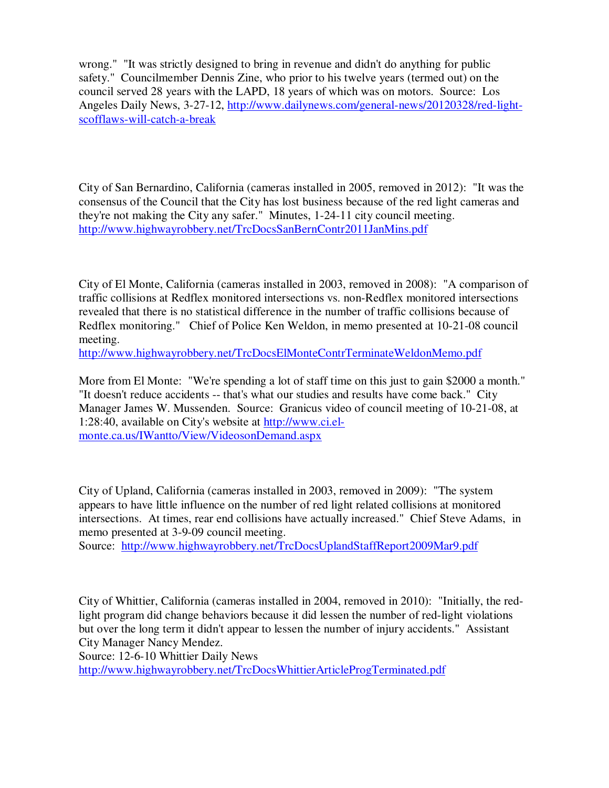wrong." "It was strictly designed to bring in revenue and didn't do anything for public safety." Councilmember Dennis Zine, who prior to his twelve years (termed out) on the council served 28 years with the LAPD, 18 years of which was on motors. Source: Los Angeles Daily News, 3-27-12, http://www.dailynews.com/general-news/20120328/red-lightscofflaws-will-catch-a-break

City of San Bernardino, California (cameras installed in 2005, removed in 2012): "It was the consensus of the Council that the City has lost business because of the red light cameras and they're not making the City any safer." Minutes, 1-24-11 city council meeting. http://www.highwayrobbery.net/TrcDocsSanBernContr2011JanMins.pdf

City of El Monte, California (cameras installed in 2003, removed in 2008): "A comparison of traffic collisions at Redflex monitored intersections vs. non-Redflex monitored intersections revealed that there is no statistical difference in the number of traffic collisions because of Redflex monitoring." Chief of Police Ken Weldon, in memo presented at 10-21-08 council meeting.

http://www.highwayrobbery.net/TrcDocsElMonteContrTerminateWeldonMemo.pdf

More from El Monte: "We're spending a lot of staff time on this just to gain \$2000 a month." "It doesn't reduce accidents -- that's what our studies and results have come back." City Manager James W. Mussenden. Source: Granicus video of council meeting of 10-21-08, at 1:28:40, available on City's website at http://www.ci.elmonte.ca.us/IWantto/View/VideosonDemand.aspx

City of Upland, California (cameras installed in 2003, removed in 2009): "The system appears to have little influence on the number of red light related collisions at monitored intersections. At times, rear end collisions have actually increased." Chief Steve Adams, in memo presented at 3-9-09 council meeting.

Source: http://www.highwayrobbery.net/TrcDocsUplandStaffReport2009Mar9.pdf

City of Whittier, California (cameras installed in 2004, removed in 2010): "Initially, the redlight program did change behaviors because it did lessen the number of red-light violations but over the long term it didn't appear to lessen the number of injury accidents." Assistant City Manager Nancy Mendez.

Source: 12-6-10 Whittier Daily News

http://www.highwayrobbery.net/TrcDocsWhittierArticleProgTerminated.pdf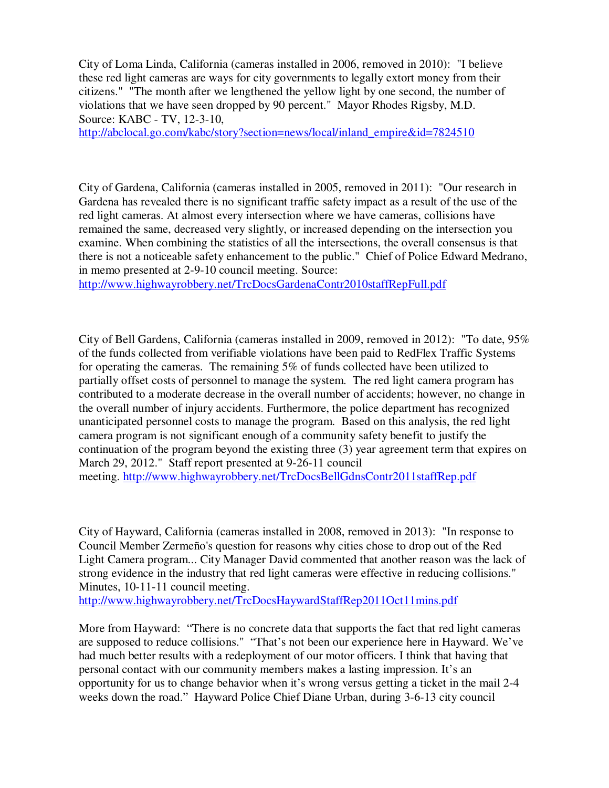City of Loma Linda, California (cameras installed in 2006, removed in 2010): "I believe these red light cameras are ways for city governments to legally extort money from their citizens." "The month after we lengthened the yellow light by one second, the number of violations that we have seen dropped by 90 percent." Mayor Rhodes Rigsby, M.D. Source: KABC - TV, 12-3-10,

http://abclocal.go.com/kabc/story?section=news/local/inland\_empire&id=7824510

City of Gardena, California (cameras installed in 2005, removed in 2011): "Our research in Gardena has revealed there is no significant traffic safety impact as a result of the use of the red light cameras. At almost every intersection where we have cameras, collisions have remained the same, decreased very slightly, or increased depending on the intersection you examine. When combining the statistics of all the intersections, the overall consensus is that there is not a noticeable safety enhancement to the public." Chief of Police Edward Medrano, in memo presented at 2-9-10 council meeting. Source:

http://www.highwayrobbery.net/TrcDocsGardenaContr2010staffRepFull.pdf

City of Bell Gardens, California (cameras installed in 2009, removed in 2012): "To date, 95% of the funds collected from verifiable violations have been paid to RedFlex Traffic Systems for operating the cameras. The remaining 5% of funds collected have been utilized to partially offset costs of personnel to manage the system. The red light camera program has contributed to a moderate decrease in the overall number of accidents; however, no change in the overall number of injury accidents. Furthermore, the police department has recognized unanticipated personnel costs to manage the program. Based on this analysis, the red light camera program is not significant enough of a community safety benefit to justify the continuation of the program beyond the existing three (3) year agreement term that expires on March 29, 2012." Staff report presented at 9-26-11 council meeting. http://www.highwayrobbery.net/TrcDocsBellGdnsContr2011staffRep.pdf

City of Hayward, California (cameras installed in 2008, removed in 2013): "In response to Council Member Zermeño's question for reasons why cities chose to drop out of the Red Light Camera program... City Manager David commented that another reason was the lack of strong evidence in the industry that red light cameras were effective in reducing collisions." Minutes, 10-11-11 council meeting.

http://www.highwayrobbery.net/TrcDocsHaywardStaffRep2011Oct11mins.pdf

More from Hayward: "There is no concrete data that supports the fact that red light cameras are supposed to reduce collisions." "That's not been our experience here in Hayward. We've had much better results with a redeployment of our motor officers. I think that having that personal contact with our community members makes a lasting impression. It's an opportunity for us to change behavior when it's wrong versus getting a ticket in the mail 2-4 weeks down the road." Hayward Police Chief Diane Urban, during 3-6-13 city council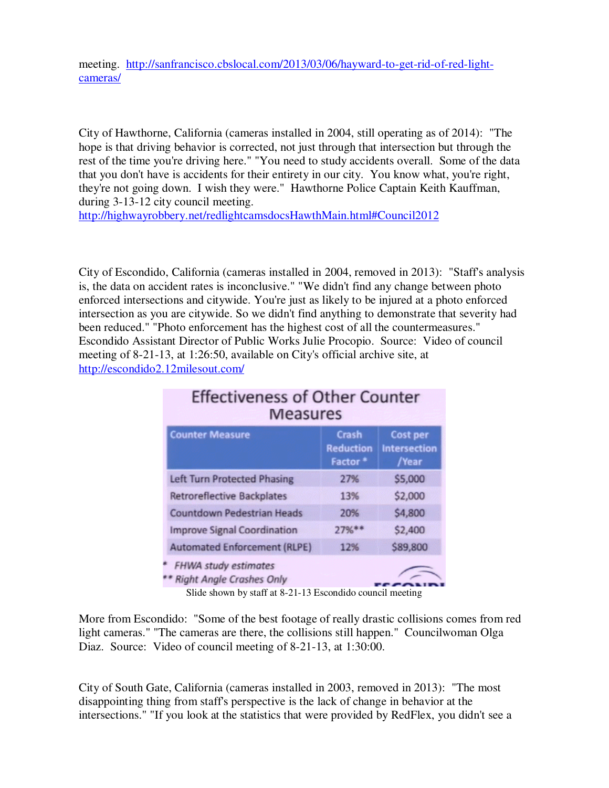meeting. http://sanfrancisco.cbslocal.com/2013/03/06/hayward-to-get-rid-of-red-lightcameras/

City of Hawthorne, California (cameras installed in 2004, still operating as of 2014): "The hope is that driving behavior is corrected, not just through that intersection but through the rest of the time you're driving here." "You need to study accidents overall. Some of the data that you don't have is accidents for their entirety in our city. You know what, you're right, they're not going down. I wish they were." Hawthorne Police Captain Keith Kauffman, during 3-13-12 city council meeting.

http://highwayrobbery.net/redlightcamsdocsHawthMain.html#Council2012

City of Escondido, California (cameras installed in 2004, removed in 2013): "Staff's analysis is, the data on accident rates is inconclusive." "We didn't find any change between photo enforced intersections and citywide. You're just as likely to be injured at a photo enforced intersection as you are citywide. So we didn't find anything to demonstrate that severity had been reduced." "Photo enforcement has the highest cost of all the countermeasures." Escondido Assistant Director of Public Works Julie Procopio. Source: Video of council meeting of 8-21-13, at 1:26:50, available on City's official archive site, at http://escondido2.12milesout.com/

| <b>Effectiveness of Other Counter</b><br><b>Measures</b>       |                                                  |                                                 |
|----------------------------------------------------------------|--------------------------------------------------|-------------------------------------------------|
| <b>Counter Measure</b>                                         | Crash<br><b>Reduction</b><br>Factor <sup>*</sup> | <b>Cost per</b><br><b>Intersection</b><br>/Year |
| <b>Left Turn Protected Phasing</b>                             | 27%                                              | \$5,000                                         |
| <b>Retroreflective Backplates</b>                              | 13%                                              | \$2,000                                         |
| <b>Countdown Pedestrian Heads</b>                              | 20%                                              | \$4,800                                         |
| <b>Improve Signal Coordination</b>                             | $27%$ **                                         | \$2,400                                         |
| <b>Automated Enforcement (RLPE)</b>                            | 12%                                              | \$89,800                                        |
| <b>FHWA study estimates</b><br><b>Right Angle Crashes Only</b> |                                                  |                                                 |

Slide shown by staff at 8-21-13 Escondido council meeting

More from Escondido: "Some of the best footage of really drastic collisions comes from red light cameras." "The cameras are there, the collisions still happen." Councilwoman Olga Diaz. Source: Video of council meeting of 8-21-13, at 1:30:00.

City of South Gate, California (cameras installed in 2003, removed in 2013): "The most disappointing thing from staff's perspective is the lack of change in behavior at the intersections." "If you look at the statistics that were provided by RedFlex, you didn't see a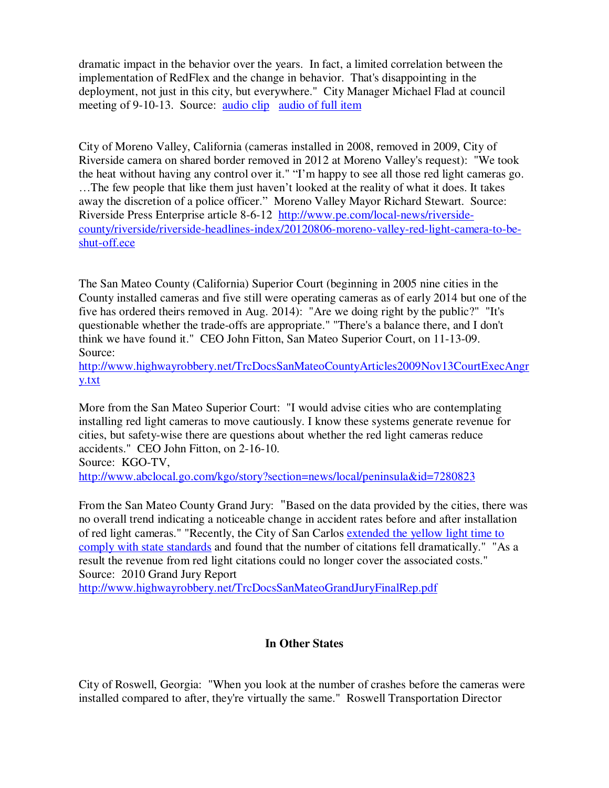dramatic impact in the behavior over the years. In fact, a limited correlation between the implementation of RedFlex and the change in behavior. That's disappointing in the deployment, not just in this city, but everywhere."City Manager Michael Flad at council meeting of 9-10-13. Source: audio clip audio of full item

City of Moreno Valley, California (cameras installed in 2008, removed in 2009, City of Riverside camera on shared border removed in 2012 at Moreno Valley's request): "We took the heat without having any control over it." "I'm happy to see all those red light cameras go. …The few people that like them just haven't looked at the reality of what it does. It takes away the discretion of a police officer." Moreno Valley Mayor Richard Stewart. Source: Riverside Press Enterprise article 8-6-12 http://www.pe.com/local-news/riversidecounty/riverside/riverside-headlines-index/20120806-moreno-valley-red-light-camera-to-beshut-off.ece

The San Mateo County (California) Superior Court (beginning in 2005 nine cities in the County installed cameras and five still were operating cameras as of early 2014 but one of the five has ordered theirs removed in Aug. 2014): "Are we doing right by the public?" "It's questionable whether the trade-offs are appropriate." "There's a balance there, and I don't think we have found it." CEO John Fitton, San Mateo Superior Court, on 11-13-09. Source:

http://www.highwayrobbery.net/TrcDocsSanMateoCountyArticles2009Nov13CourtExecAngr y.txt

More from the San Mateo Superior Court: "I would advise cities who are contemplating installing red light cameras to move cautiously. I know these systems generate revenue for cities, but safety-wise there are questions about whether the red light cameras reduce accidents." CEO John Fitton, on 2-16-10. Source: KGO-TV, http://www.abclocal.go.com/kgo/story?section=news/local/peninsula&id=7280823

From the San Mateo County Grand Jury: "Based on the data provided by the cities, there was no overall trend indicating a noticeable change in accident rates before and after installation of red light cameras." "Recently, the City of San Carlos extended the yellow light time to comply with state standards and found that the number of citations fell dramatically." "As a result the revenue from red light citations could no longer cover the associated costs." Source: 2010 Grand Jury Report

http://www.highwayrobbery.net/TrcDocsSanMateoGrandJuryFinalRep.pdf

## **In Other States**

City of Roswell, Georgia: "When you look at the number of crashes before the cameras were installed compared to after, they're virtually the same." Roswell Transportation Director